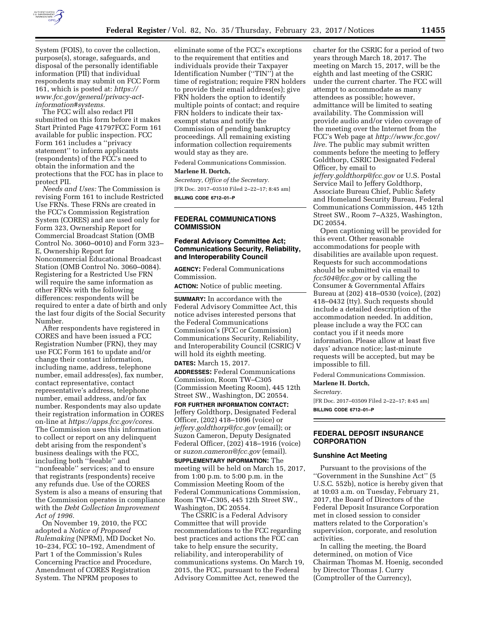

System (FOIS), to cover the collection, purpose(s), storage, safeguards, and disposal of the personally identifiable information (PII) that individual respondents may submit on FCC Form 161, which is posted at: *[https://](https://www.fcc.gov/general/privacy-act-information#systems) [www.fcc.gov/general/privacy-act](https://www.fcc.gov/general/privacy-act-information#systems)[information#systems.](https://www.fcc.gov/general/privacy-act-information#systems)* 

The FCC will also redact PII submitted on this form before it makes Start Printed Page 41797FCC Form 161 available for public inspection. FCC Form 161 includes a ''privacy statement'' to inform applicants (respondents) of the FCC's need to obtain the information and the protections that the FCC has in place to protect PII.

*Needs and Uses:* The Commission is revising Form 161 to include Restricted Use FRNs. These FRNs are created in the FCC's Commission Registration System (CORES) and are used only for Form 323, Ownership Report for Commercial Broadcast Station (OMB Control No. 3060–0010) and Form 323– E, Ownership Report for Noncommercial Educational Broadcast Station (OMB Control No. 3060–0084). Registering for a Restricted Use FRN will require the same information as other FRNs with the following differences: respondents will be required to enter a date of birth and only the last four digits of the Social Security Number.

After respondents have registered in CORES and have been issued a FCC Registration Number (FRN), they may use FCC Form 161 to update and/or change their contact information, including name, address, telephone number, email address(es), fax number, contact representative, contact representative's address, telephone number, email address, and/or fax number. Respondents may also update their registration information in CORES on-line at *[https://apps.fcc.gov/cores.](https://apps.fcc.gov/cores)*  The Commission uses this information to collect or report on any delinquent debt arising from the respondent's business dealings with the FCC, including both ''feeable'' and ''nonfeeable'' services; and to ensure that registrants (respondents) receive any refunds due. Use of the CORES System is also a means of ensuring that the Commission operates in compliance with the *Debt Collection Improvement Act of 1996.* 

On November 19, 2010, the FCC adopted a *Notice of Proposed Rulemaking* (NPRM), MD Docket No. 10–234, FCC 10–192, Amendment of Part 1 of the Commission's Rules Concerning Practice and Procedure, Amendment of CORES Registration System. The NPRM proposes to

eliminate some of the FCC's exceptions to the requirement that entities and individuals provide their Taxpayer Identification Number (''TIN'') at the time of registration; require FRN holders to provide their email address(es); give FRN holders the option to identify multiple points of contact; and require FRN holders to indicate their taxexempt status and notify the Commission of pending bankruptcy proceedings. All remaining existing information collection requirements would stay as they are.

Federal Communications Commission.

## **Marlene H. Dortch,**

*Secretary, Office of the Secretary.*  [FR Doc. 2017–03510 Filed 2–22–17; 8:45 am] **BILLING CODE 6712–01–P** 

# **FEDERAL COMMUNICATIONS COMMISSION**

## **Federal Advisory Committee Act; Communications Security, Reliability, and Interoperability Council**

**AGENCY:** Federal Communications Commission.

**ACTION:** Notice of public meeting.

**SUMMARY:** In accordance with the Federal Advisory Committee Act, this notice advises interested persons that the Federal Communications Commission's (FCC or Commission) Communications Security, Reliability, and Interoperability Council (CSRIC) V will hold its eighth meeting. **DATES:** March 15, 2017.

**ADDRESSES:** Federal Communications Commission, Room TW–C305 (Commission Meeting Room), 445 12th Street SW., Washington, DC 20554.

**FOR FURTHER INFORMATION CONTACT:**  Jeffery Goldthorp, Designated Federal Officer, (202) 418–1096 (voice) or *[jeffery.goldthorp@fcc.gov](mailto:jeffery.goldthorp@fcc.gov)* (email); or Suzon Cameron, Deputy Designated Federal Officer, (202) 418–1916 (voice) or *[suzon.cameron@fcc.gov](mailto:suzon.cameron@fcc.gov)* (email). **SUPPLEMENTARY INFORMATION:** The meeting will be held on March 15, 2017, from 1:00 p.m. to 5:00 p.m. in the Commission Meeting Room of the Federal Communications Commission, Room TW–C305, 445 12th Street SW., Washington, DC 20554.

The CSRIC is a Federal Advisory Committee that will provide recommendations to the FCC regarding best practices and actions the FCC can take to help ensure the security, reliability, and interoperability of communications systems. On March 19, 2015, the FCC, pursuant to the Federal Advisory Committee Act, renewed the

charter for the CSRIC for a period of two years through March 18, 2017. The meeting on March 15, 2017, will be the eighth and last meeting of the CSRIC under the current charter. The FCC will attempt to accommodate as many attendees as possible; however, admittance will be limited to seating availability. The Commission will provide audio and/or video coverage of the meeting over the Internet from the FCC's Web page at *[http://www.fcc.gov/](http://www.fcc.gov/live)  [live.](http://www.fcc.gov/live)* The public may submit written comments before the meeting to Jeffery Goldthorp, CSRIC Designated Federal Officer, by email to

*[jeffery.goldthorp@fcc.gov](mailto:jeffery.goldthorp@fcc.gov)* or U.S. Postal Service Mail to Jeffery Goldthorp, Associate Bureau Chief, Public Safety and Homeland Security Bureau, Federal Communications Commission, 445 12th Street SW., Room 7–A325, Washington, DC 20554.

Open captioning will be provided for this event. Other reasonable accommodations for people with disabilities are available upon request. Requests for such accommodations should be submitted via email to *[fcc504@fcc.gov](mailto:fcc504@fcc.gov)* or by calling the Consumer & Governmental Affairs Bureau at (202) 418–0530 (voice), (202) 418–0432 (tty). Such requests should include a detailed description of the accommodation needed. In addition, please include a way the FCC can contact you if it needs more information. Please allow at least five days' advance notice; last-minute requests will be accepted, but may be impossible to fill.

Federal Communications Commission.

## **Marlene H. Dortch,**

*Secretary.* 

[FR Doc. 2017–03509 Filed 2–22–17; 8:45 am] **BILLING CODE 6712–01–P** 

## **FEDERAL DEPOSIT INSURANCE CORPORATION**

#### **Sunshine Act Meeting**

Pursuant to the provisions of the ''Government in the Sunshine Act'' (5 U.S.C. 552b), notice is hereby given that at 10:03 a.m. on Tuesday, February 21, 2017, the Board of Directors of the Federal Deposit Insurance Corporation met in closed session to consider matters related to the Corporation's supervision, corporate, and resolution activities.

In calling the meeting, the Board determined, on motion of Vice Chairman Thomas M. Hoenig, seconded by Director Thomas J. Curry (Comptroller of the Currency),